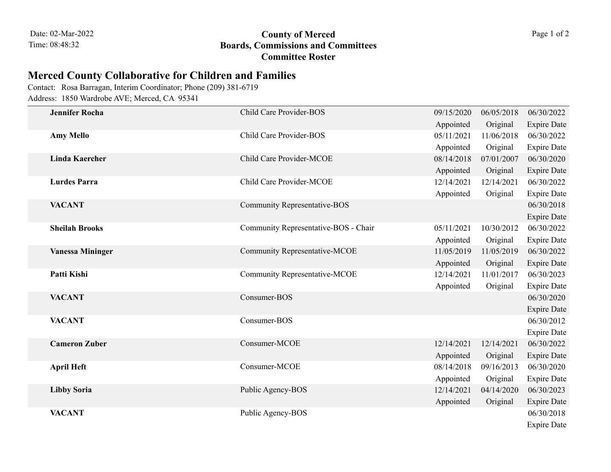## 08:48:32 **Boards, Commissions and Committees County of Merced** Page 1 of 2 **Committee Roster**

## **Merced County Collaborative for Children and Families**

Address: 1850 Wardrobe AVE; Merced, CA 95341 Contact: Rosa Barragan, Interim Coordinator; Phone (209) 381-6719

|  | <b>Jennifer Rocha</b>   | Child Care Provider-BOS              | 09/15/2020 | 06/05/2018 | 06/30/2022         |
|--|-------------------------|--------------------------------------|------------|------------|--------------------|
|  |                         |                                      | Appointed  | Original   | <b>Expire Date</b> |
|  | <b>Amy Mello</b>        | Child Care Provider-BOS              | 05/11/2021 | 11/06/2018 | 06/30/2022         |
|  |                         |                                      | Appointed  | Original   | <b>Expire Date</b> |
|  | <b>Linda Kaercher</b>   | Child Care Provider-MCOE             | 08/14/2018 | 07/01/2007 | 06/30/2020         |
|  |                         |                                      | Appointed  | Original   | <b>Expire Date</b> |
|  | <b>Lurdes Parra</b>     | Child Care Provider-MCOE             | 12/14/2021 | 12/14/2021 | 06/30/2022         |
|  |                         |                                      | Appointed  | Original   | <b>Expire Date</b> |
|  | <b>VACANT</b>           | <b>Community Representative-BOS</b>  |            |            | 06/30/2018         |
|  |                         |                                      |            |            | <b>Expire Date</b> |
|  | <b>Sheilah Brooks</b>   | Community Representative-BOS - Chair | 05/11/2021 | 10/30/2012 | 06/30/2022         |
|  |                         |                                      | Appointed  | Original   | <b>Expire Date</b> |
|  | <b>Vanessa Mininger</b> | Community Representative-MCOE        | 11/05/2019 | 11/05/2019 | 06/30/2022         |
|  |                         |                                      | Appointed  | Original   | <b>Expire Date</b> |
|  | Patti Kishi             | Community Representative-MCOE        | 12/14/2021 | 11/01/2017 | 06/30/2023         |
|  |                         |                                      | Appointed  | Original   | <b>Expire Date</b> |
|  | <b>VACANT</b>           | Consumer-BOS                         |            |            | 06/30/2020         |
|  |                         |                                      |            |            | <b>Expire Date</b> |
|  | <b>VACANT</b>           | Consumer-BOS                         |            |            | 06/30/2012         |
|  |                         |                                      |            |            | <b>Expire Date</b> |
|  | <b>Cameron Zuber</b>    | Consumer-MCOE                        | 12/14/2021 | 12/14/2021 | 06/30/2022         |
|  |                         |                                      | Appointed  | Original   | <b>Expire Date</b> |
|  | <b>April Heft</b>       | Consumer-MCOE                        | 08/14/2018 | 09/16/2013 | 06/30/2020         |
|  |                         |                                      | Appointed  | Original   | <b>Expire Date</b> |
|  | <b>Libby Soria</b>      | Public Agency-BOS                    | 12/14/2021 | 04/14/2020 | 06/30/2023         |
|  |                         |                                      | Appointed  | Original   | <b>Expire Date</b> |
|  | <b>VACANT</b>           | Public Agency-BOS                    |            |            | 06/30/2018         |
|  |                         |                                      |            |            | <b>Expire Date</b> |
|  |                         |                                      |            |            |                    |